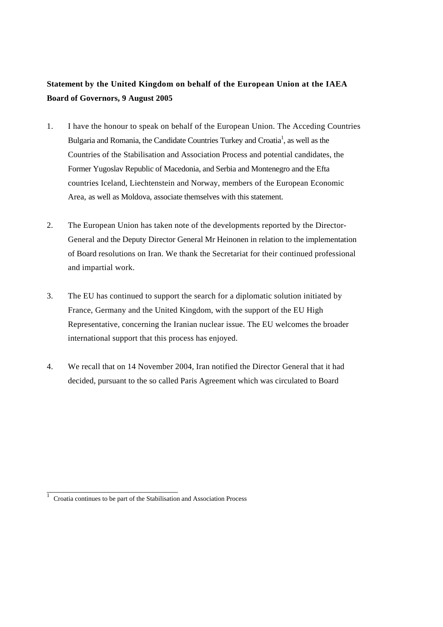## **Statement by the United Kingdom on behalf of the European Union at the IAEA Board of Governors, 9 August 2005**

- 1. I have the honour to speak on behalf of the European Union. The Acceding Countries Bulgaria and Romania, the Candidate Countries Turkey and Croatia<sup>1</sup>, as well as the Countries of the Stabilisation and Association Process and potential candidates, the Former Yugoslav Republic of Macedonia, and Serbia and Montenegro and the Efta countries Iceland, Liechtenstein and Norway, members of the European Economic Area, as well as Moldova, associate themselves with this statement.
- 2. The European Union has taken note of the developments reported by the Director-General and the Deputy Director General Mr Heinonen in relation to the implementation of Board resolutions on Iran. We thank the Secretariat for their continued professional and impartial work.
- 3. The EU has continued to support the search for a diplomatic solution initiated by France, Germany and the United Kingdom, with the support of the EU High Representative, concerning the Iranian nuclear issue. The EU welcomes the broader international support that this process has enjoyed.
- 4. We recall that on 14 November 2004, Iran notified the Director General that it had decided, pursuant to the so called Paris Agreement which was circulated to Board

\_\_\_\_\_\_\_\_\_\_\_\_\_\_\_\_\_\_\_\_\_\_\_\_\_\_\_\_\_\_\_\_

<sup>1</sup> Croatia continues to be part of the Stabilisation and Association Process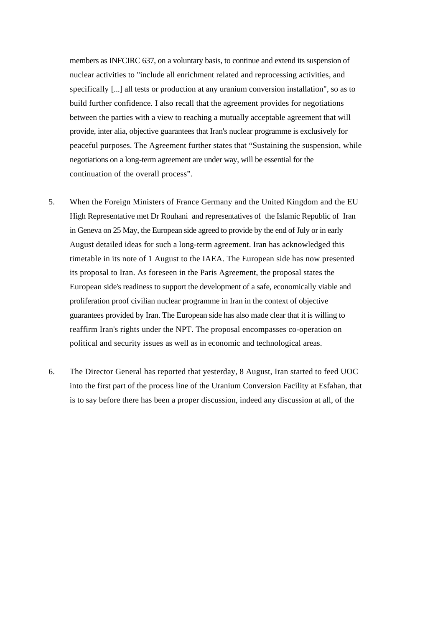members as INFCIRC 637, on a voluntary basis, to continue and extend its suspension of nuclear activities to "include all enrichment related and reprocessing activities, and specifically [...] all tests or production at any uranium conversion installation", so as to build further confidence. I also recall that the agreement provides for negotiations between the parties with a view to reaching a mutually acceptable agreement that will provide, inter alia, objective guarantees that Iran's nuclear programme is exclusively for peaceful purposes. The Agreement further states that "Sustaining the suspension, while negotiations on a long-term agreement are under way, will be essential for the continuation of the overall process".

- 5. When the Foreign Ministers of France Germany and the United Kingdom and the EU High Representative met Dr Rouhani and representatives of the Islamic Republic of Iran in Geneva on 25 May, the European side agreed to provide by the end of July or in early August detailed ideas for such a long-term agreement. Iran has acknowledged this timetable in its note of 1 August to the IAEA. The European side has now presented its proposal to Iran. As foreseen in the Paris Agreement, the proposal states the European side's readiness to support the development of a safe, economically viable and proliferation proof civilian nuclear programme in Iran in the context of objective guarantees provided by Iran. The European side has also made clear that it is willing to reaffirm Iran's rights under the NPT. The proposal encompasses co-operation on political and security issues as well as in economic and technological areas.
- 6. The Director General has reported that yesterday, 8 August, Iran started to feed UOC into the first part of the process line of the Uranium Conversion Facility at Esfahan, that is to say before there has been a proper discussion, indeed any discussion at all, of the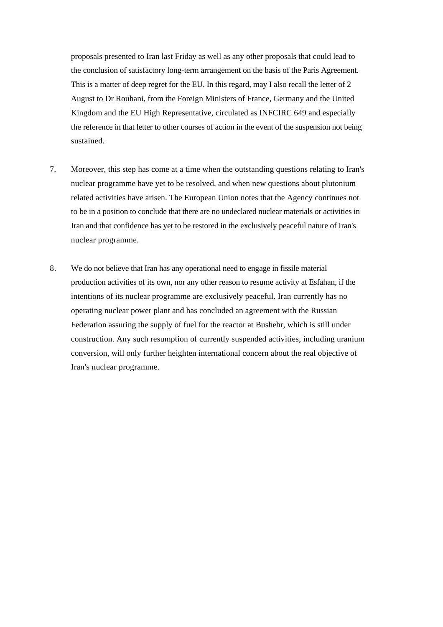proposals presented to Iran last Friday as well as any other proposals that could lead to the conclusion of satisfactory long-term arrangement on the basis of the Paris Agreement. This is a matter of deep regret for the EU. In this regard, may I also recall the letter of 2 August to Dr Rouhani, from the Foreign Ministers of France, Germany and the United Kingdom and the EU High Representative, circulated as INFCIRC 649 and especially the reference in that letter to other courses of action in the event of the suspension not being sustained.

- 7. Moreover, this step has come at a time when the outstanding questions relating to Iran's nuclear programme have yet to be resolved, and when new questions about plutonium related activities have arisen. The European Union notes that the Agency continues not to be in a position to conclude that there are no undeclared nuclear materials or activities in Iran and that confidence has yet to be restored in the exclusively peaceful nature of Iran's nuclear programme.
- 8. We do not believe that Iran has any operational need to engage in fissile material production activities of its own, nor any other reason to resume activity at Esfahan, if the intentions of its nuclear programme are exclusively peaceful. Iran currently has no operating nuclear power plant and has concluded an agreement with the Russian Federation assuring the supply of fuel for the reactor at Bushehr, which is still under construction. Any such resumption of currently suspended activities, including uranium conversion, will only further heighten international concern about the real objective of Iran's nuclear programme.